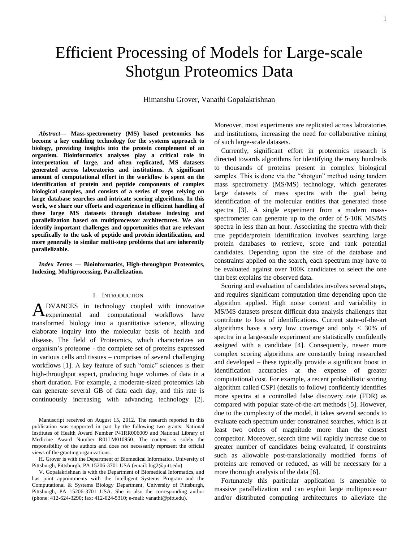# Efficient Processing of Models for Large-scale Shotgun Proteomics Data

Himanshu Grover, Vanathi Gopalakrishnan

*Abstract***— Mass-spectrometry (MS) based proteomics has become a key enabling technology for the systems approach to biology, providing insights into the protein complement of an organism. Bioinformatics analyses play a critical role in interpretation of large, and often replicated, MS datasets generated across laboratories and institutions. A significant amount of computational effort in the workflow is spent on the identification of protein and peptide components of complex biological samples, and consists of a series of steps relying on large database searches and intricate scoring algorithms. In this work, we share our efforts and experience in efficient handling of these large MS datasets through database indexing and parallelization based on multiprocessor architectures. We also identify important challenges and opportunities that are relevant specifically to the task of peptide and protein identification, and more generally to similar multi-step problems that are inherently parallelizable.**

*Index Terms* **— Bioinformatics, High-throughput Proteomics, Indexing, Multiprocessing, Parallelization.**

#### I. INTRODUCTION

DVANCES in technology coupled with innovative  $A_{\text{experimental}}^{\text{DVANCES}}$  in technology coupled with innovative  $A_{\text{experimental}}$  and computational workflows have transformed biology into a quantitative science, allowing elaborate inquiry into the molecular basis of health and disease. The field of Proteomics, which characterizes an organism's proteome - the complete set of proteins expressed in various cells and tissues – comprises of several challenging workflows [1]. A key feature of such "omic" sciences is their high-throughput aspect, producing huge volumes of data in a short duration. For example, a moderate-sized proteomics lab can generate several GB of data each day, and this rate is continuously increasing with advancing technology [2].

Manuscript received on August 15, 2012. The research reported in this publication was supported in part by the following two grants: National Institutes of Health Award Number P41RR006009 and National Library of Medicine Award Number R01LM010950. The content is solely the responsibility of the authors and does not necessarily represent the official views of the granting organizations.

H. Grover is with the Department of Biomedical Informatics, University of Pittsburgh, Pittsburgh, PA 15206-3701 USA (email: hig2@pitt.edu)

V. Gopalakrishnan is with the Department of Biomedical Informatics, and has joint appointments with the Intelligent Systems Program and the Computational & Systems Biology Department, University of Pittsburgh, Pittsburgh, PA 15206-3701 USA. She is also the corresponding author (phone: 412-624-3290; fax: 412-624-5310; e-mail: vanathi@pitt.edu).

Moreover, most experiments are replicated across laboratories and institutions, increasing the need for collaborative mining of such large-scale datasets.

Currently, significant effort in proteomics research is directed towards algorithms for identifying the many hundreds to thousands of proteins present in complex biological samples. This is done via the "shotgun" method using tandem mass spectrometry (MS/MS) technology, which generates large datasets of mass spectra with the goal being identification of the molecular entities that generated those spectra [3]. A single experiment from a modern massspectrometer can generate up to the order of 5-10K MS/MS spectra in less than an hour. Associating the spectra with their true peptide/protein identification involves searching large protein databases to retrieve, score and rank potential candidates. Depending upon the size of the database and constraints applied on the search, each spectrum may have to be evaluated against over 100K candidates to select the one that best explains the observed data.

Scoring and evaluation of candidates involves several steps, and requires significant computation time depending upon the algorithm applied. High noise content and variability in MS/MS datasets present difficult data analysis challenges that contribute to loss of identifications. Current state-of-the-art algorithms have a very low coverage and only  $\langle 30\%$  of spectra in a large-scale experiment are statistically confidently assigned with a candidate [4]. Consequently, newer more complex scoring algorithms are constantly being researched and developed – these typically provide a significant boost in identification accuracies at the expense of greater computational cost. For example, a recent probabilistic scoring algorithm called CSPI (details to follow) confidently identifies more spectra at a controlled false discovery rate (FDR) as compared with popular state-of-the-art methods [5]. However, due to the complexity of the model, it takes several seconds to evaluate each spectrum under constrained searches, which is at least two orders of magnitude more than the closest competitor. Moreover, search time will rapidly increase due to greater number of candidates being evaluated, if constraints such as allowable post-translationally modified forms of proteins are removed or reduced, as will be necessary for a more thorough analysis of the data [6].

Fortunately this particular application is amenable to massive parallelization and can exploit large multiprocessor and/or distributed computing architectures to alleviate the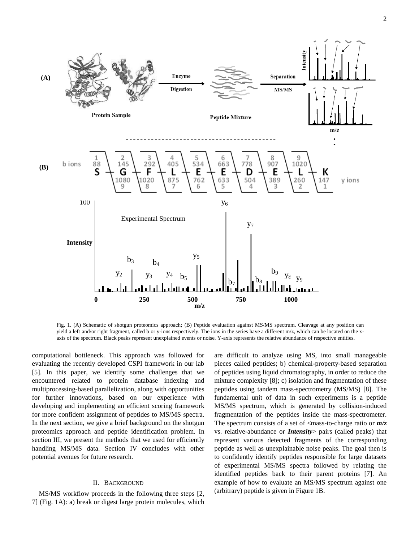

Fig. 1. (A) Schematic of shotgun proteomics approach; (B) Peptide evaluation against MS/MS spectrum. Cleavage at any position can yield a left and/or right fragment, called b or y-ions respectively. The ions in the series have a different m/z, which can be located on the xaxis of the spectrum. Black peaks represent unexplained events or noise. Y-axis represents the relative abundance of respective entities.

computational bottleneck. This approach was followed for evaluating the recently developed CSPI framework in our lab [5]. In this paper, we identify some challenges that we encountered related to protein database indexing and multiprocessing-based parallelization, along with opportunities for further innovations, based on our experience with developing and implementing an efficient scoring framework for more confident assignment of peptides to MS/MS spectra. In the next section, we give a brief background on the shotgun proteomics approach and peptide identification problem. In section III, we present the methods that we used for efficiently handling MS/MS data. Section IV concludes with other potential avenues for future research.

### II. BACKGROUND

MS/MS workflow proceeds in the following three steps [2, 7] (Fig. 1A): a) break or digest large protein molecules, which are difficult to analyze using MS, into small manageable pieces called peptides; b) chemical-property-based separation of peptides using liquid chromatography, in order to reduce the mixture complexity [8]; c) isolation and fragmentation of these peptides using tandem mass-spectrometry (MS/MS) [8]. The fundamental unit of data in such experiments is a peptide MS/MS spectrum, which is generated by collision-induced fragmentation of the peptides inside the mass-spectrometer. The spectrum consists of a set of <mass-to-charge ratio or  $m/z$ vs. relative-abundance or *Intensity*> pairs (called peaks) that represent various detected fragments of the corresponding peptide as well as unexplainable noise peaks. The goal then is to confidently identify peptides responsible for large datasets of experimental MS/MS spectra followed by relating the identified peptides back to their parent proteins [7]. An example of how to evaluate an MS/MS spectrum against one (arbitrary) peptide is given in Figure 1B.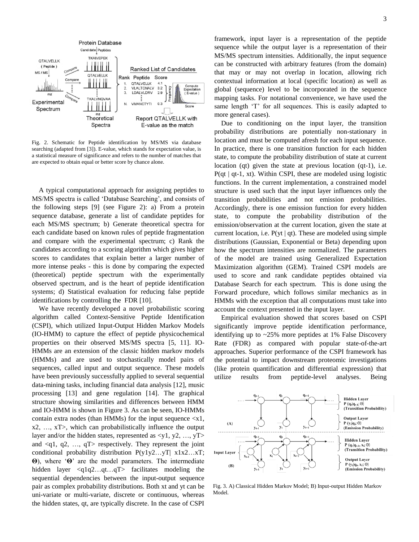

Fig. 2. Schematic for Peptide identification by MS/MS via database searching (adapted from [3]). E-value, which stands for expectation value, is a statistical measure of significance and refers to the number of matches that are expected to obtain equal or better score by chance alone.

A typical computational approach for assigning peptides to MS/MS spectra is called 'Database Searching', and consists of the following steps [9] (see Figure 2): a) From a protein sequence database, generate a list of candidate peptides for each MS/MS spectrum; b) Generate theoretical spectra for each candidate based on known rules of peptide fragmentation and compare with the experimental spectrum; c) Rank the candidates according to a scoring algorithm which gives higher scores to candidates that explain better a larger number of more intense peaks - this is done by comparing the expected (theoretical) peptide spectrum with the experimentally observed spectrum, and is the heart of peptide identification systems; d) Statistical evaluation for reducing false peptide identifications by controlling the FDR [10].

We have recently developed a novel probabilistic scoring algorithm called Context-Sensitive Peptide Identification (CSPI), which utilized Input-Output Hidden Markov Models (IO-HMM) to capture the effect of peptide physicochemical properties on their observed MS/MS spectra [5, 11]. IO-HMMs are an extension of the classic hidden markov models (HMMs) and are used to stochastically model pairs of sequences, called input and output sequence. These models have been previously successfully applied to several sequential data-mining tasks, including financial data analysis [12], music processing [13] and gene regulation [14]. The graphical structure showing similarities and differences between HMM and IO-HMM is shown in Figure 3. As can be seen, IO-HMMs contain extra nodes (than HMMs) for the input sequence  $\langle x_1, x_2 \rangle$ x2, …, xT>, which can probabilistically influence the output layer and/or the hidden states, represented as  $\langle y1, y2, ..., yT \rangle$ and  $\langle q_1, q_2, \ldots, q_T \rangle$  respectively. They represent the joint conditional probability distribution P(y1y2…yT| x1x2…xT; **Θ**), where '**Θ**' are the model parameters. The intermediate hidden layer <q1q2...qt...qT> facilitates modeling the sequential dependencies between the input-output sequence pair as complex probability distributions. Both xt and yt can be uni-variate or multi-variate, discrete or continuous, whereas the hidden states, qt, are typically discrete. In the case of CSPI

framework, input layer is a representation of the peptide sequence while the output layer is a representation of their MS/MS spectrum intensities. Additionally, the input sequence can be constructed with arbitrary features (from the domain) that may or may not overlap in location, allowing rich contextual information at local (specific location) as well as global (sequence) level to be incorporated in the sequence mapping tasks. For notational convenience, we have used the same length 'T' for all sequences. This is easily adapted to more general cases).

Due to conditioning on the input layer, the transition probability distributions are potentially non-stationary in location and must be computed afresh for each input sequence. In practice, there is one transition function for each hidden state, to compute the probability distribution of state at current location (qt) given the state at previous location (qt-1), i.e.  $P(qt \mid qt-1, xt)$ . Within CSPI, these are modeled using logistic functions. In the current implementation, a constrained model structure is used such that the input layer influences only the transition probabilities and not emission probabilities. Accordingly, there is one emission function for every hidden state, to compute the probability distribution of the emission/observation at the current location, given the state at current location, i.e.  $P(yt | qt)$ . These are modeled using simple distributions (Gaussian, Exponential or Beta) depending upon how the spectrum intensities are normalized. The parameters of the model are trained using Generalized Expectation Maximization algorithm (GEM). Trained CSPI models are used to score and rank candidate peptides obtained via Database Search for each spectrum. This is done using the Forward procedure, which follows similar mechanics as in HMMs with the exception that all computations must take into account the context presented in the input layer.

Empirical evaluation showed that scores based on CSPI significantly improve peptide identification performance, identifying up to ~25% more peptides at 1% False Discovery Rate (FDR) as compared with popular state-of-the-art approaches. Superior performance of the CSPI framework has the potential to impact downstream proteomic investigations (like protein quantification and differential expression) that utilize results from peptide-level analyses. Being



Fig. 3. A) Classical Hidden Markov Model; B) Input-output Hidden Markov Model.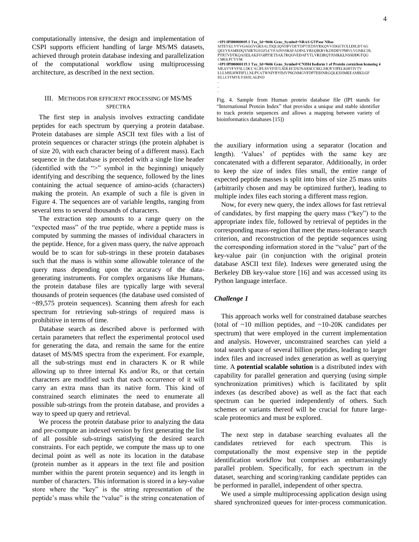computationally intensive, the design and implementation of CSPI supports efficient handling of large MS/MS datasets, achieved through protein database indexing and parallelization of the computational workflow using multiprocessing architecture, as described in the next section.

## III. METHODS FOR EFFICIENT PROCESSING OF MS/MS SPECTRA

The first step in analysis involves extracting candidate peptides for each spectrum by querying a protein database. Protein databases are simple ASCII text files with a list of protein sequences or character strings (the protein alphabet is of size 20, with each character being of a different mass). Each sequence in the database is preceded with a single line header (identified with the ">" symbol in the beginning) uniquely identifying and describing the sequence, followed by the lines containing the actual sequence of amino-acids (characters) making the protein. An example of such a file is given in Figure 4. The sequences are of variable lengths, ranging from several tens to several thousands of characters.

The extraction step amounts to a range query on the "expected mass" of the true peptide, where a peptide mass is computed by summing the masses of individual characters in the peptide. Hence, for a given mass query, the naïve approach would be to scan for sub-strings in these protein databases such that the mass is within some allowable tolerance of the query mass depending upon the accuracy of the datagenerating instruments. For complex organisms like Humans, the protein database files are typically large with several thousands of protein sequences (the database used consisted of ~89,575 protein sequences). Scanning them afresh for each spectrum for retrieving sub-strings of required mass is prohibitive in terms of time.

Database search as described above is performed with certain parameters that reflect the experimental protocol used for generating the data, and remain the same for the entire dataset of MS/MS spectra from the experiment. For example, all the sub-strings must end in characters K or R while allowing up to three internal Ks and/or Rs, or that certain characters are modified such that each occurrence of it will carry an extra mass than its native form. This kind of constrained search eliminates the need to enumerate all possible sub-strings from the protein database, and provides a way to speed up query and retrieval.

We process the protein database prior to analyzing the data and pre-compute an indexed version by first generating the list of all possible sub-strings satisfying the desired search constraints. For each peptide, we compute the mass up to one decimal point as well as note its location in the database (protein number as it appears in the text file and position number within the parent protein sequence) and its length in number of characters. This information is stored in a key-value store where the "key" is the string representation of the peptide's mass while the "value" is the string concatenation of >IPI:IPI00000115.1 Tax\_Id=9606 Gene\_Symbol=CNIH4 Isoform 1 of Protein cornichon hom<br>MEAVVFVFSLLDCCALIFLSVYFIITLSDLECDYINARSCCSKLNKWVIPELIGHTIVTV<br>LLLMSLHWFIFLLNLPVATWNIYRYIMVPSGNMGVFDPTEIHNRGQLKSHMKEAMIKLGF **HLLCFFMYLYSMILALIND** 

Fig. 4. Sample from Human protein database file (IPI stands for "International Protein Index" that provides a unique and stable identifier to track protein sequences and allows a mapping between variety of bioinformatics databases [15])

the auxiliary information using a separator (location and length). 'Values' of peptides with the same key are concatenated with a different separator. Additionally, in order to keep the size of index files small, the entire range of expected peptide masses is split into bins of size 25 mass units (arbitrarily chosen and may be optimized further), leading to multiple index files each storing a different mass region.

Now, for every new query, the index allows for fast retrieval of candidates, by first mapping the query mass ("key") to the appropriate index file, followed by retrieval of peptides in the corresponding mass-region that meet the mass-tolerance search criterion, and reconstruction of the peptide sequences using the corresponding information stored in the "value" part of the key-value pair (in conjunction with the original protein database ASCII text file). Indexes were generated using the Berkeley DB key-value store [16] and was accessed using its Python language interface.

#### *Challenge 1*

This approach works well for constrained database searches (total of  $\sim$ 10 million peptides, and  $\sim$ 10-20K candidates per spectrum) that were employed in the current implementation and analysis. However, unconstrained searches can yield a total search space of several billion peptides, leading to larger index files and increased index generation as well as querying time. A **potential scalable solution** is a distributed index with capability for parallel generation and querying (using simple synchronization primitives) which is facilitated by split indexes (as described above) as well as the fact that each spectrum can be queried independently of others. Such schemes or variants thereof will be crucial for future largescale proteomics and must be explored.

The next step in database searching evaluates all the candidates retrieved for each spectrum. This is computationally the most expensive step in the peptide identification workflow but comprises an embarrassingly parallel problem. Specifically, for each spectrum in the dataset, searching and scoring/ranking candidate peptides can be performed in parallel, independent of other spectra.

We used a simple multiprocessing application design using shared synchronized queues for inter-process communication.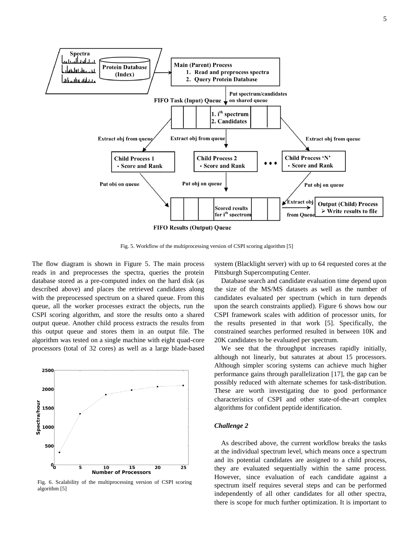

Fig. 5. Workflow of the multiprocessing version of CSPI scoring algorithm [5]

The flow diagram is shown in Figure 5. The main process reads in and preprocesses the spectra, queries the protein database stored as a pre-computed index on the hard disk (as described above) and places the retrieved candidates along with the preprocessed spectrum on a shared queue. From this queue, all the worker processes extract the objects, run the CSPI scoring algorithm, and store the results onto a shared output queue. Another child process extracts the results from this output queue and stores them in an output file. The algorithm was tested on a single machine with eight quad-core processors (total of 32 cores) as well as a large blade-based



Fig. 6. Scalability of the multiprocessing version of CSPI scoring algorithm [5]

system (Blacklight server) with up to 64 requested cores at the Pittsburgh Supercomputing Center.

Database search and candidate evaluation time depend upon the size of the MS/MS datasets as well as the number of candidates evaluated per spectrum (which in turn depends upon the search constraints applied). Figure 6 shows how our CSPI framework scales with addition of processor units, for the results presented in that work [5]. Specifically, the constrained searches performed resulted in between 10K and 20K candidates to be evaluated per spectrum.

We see that the throughput increases rapidly initially, although not linearly, but saturates at about 15 processors. Although simpler scoring systems can achieve much higher performance gains through parallelization [17], the gap can be possibly reduced with alternate schemes for task-distribution. These are worth investigating due to good performance characteristics of CSPI and other state-of-the-art complex algorithms for confident peptide identification.

#### *Challenge 2*

As described above, the current workflow breaks the tasks at the individual spectrum level, which means once a spectrum and its potential candidates are assigned to a child process, they are evaluated sequentially within the same process. However, since evaluation of each candidate against a spectrum itself requires several steps and can be performed independently of all other candidates for all other spectra, there is scope for much further optimization. It is important to